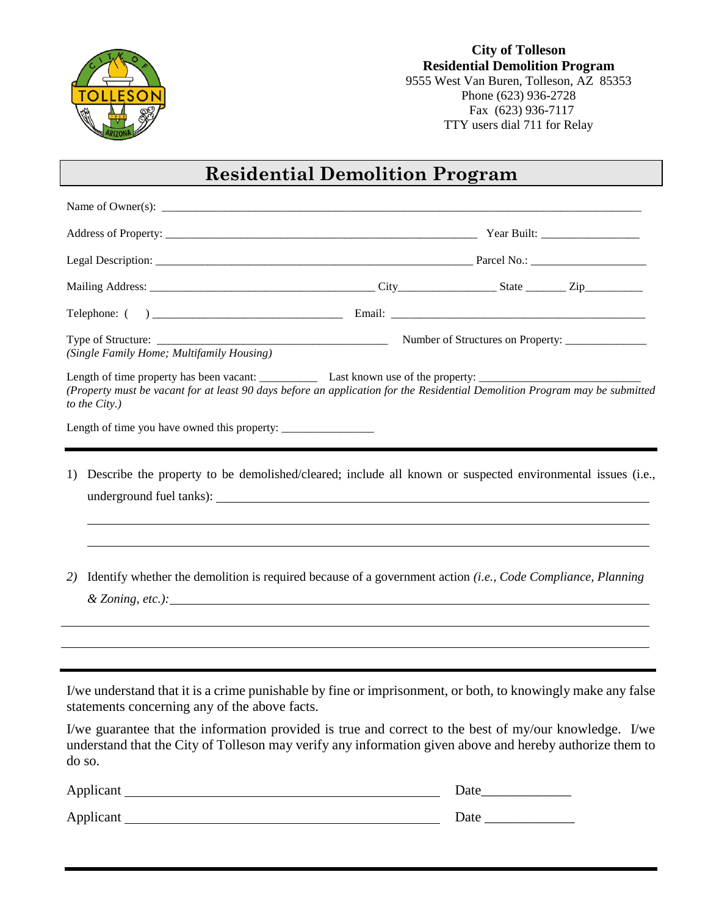

## **City of Tolleson Residential Demolition Program**  9555 West Van Buren, Tolleson, AZ 85353 Phone (623) 936-2728 Fax (623) 936-7117 TTY users dial 711 for Relay

## **Residential Demolition Program**

| (Single Family Home; Multifamily Housing)                                                                                                                                                                                                                                                                                                                                                    |  |      |  |  |
|----------------------------------------------------------------------------------------------------------------------------------------------------------------------------------------------------------------------------------------------------------------------------------------------------------------------------------------------------------------------------------------------|--|------|--|--|
| (Property must be vacant for at least 90 days before an application for the Residential Demolition Program may be submitted<br>to the City.)                                                                                                                                                                                                                                                 |  |      |  |  |
|                                                                                                                                                                                                                                                                                                                                                                                              |  |      |  |  |
| Describe the property to be demolished/cleared; include all known or suspected environmental issues (i.e.,<br>1)<br>Identify whether the demolition is required because of a government action (i.e., Code Compliance, Planning<br>2)                                                                                                                                                        |  |      |  |  |
| I/we understand that it is a crime punishable by fine or imprisonment, or both, to knowingly make any false<br>statements concerning any of the above facts.<br>I/we guarantee that the information provided is true and correct to the best of my/our knowledge. I/we<br>understand that the City of Tolleson may verify any information given above and hereby authorize them to<br>do so. |  |      |  |  |
|                                                                                                                                                                                                                                                                                                                                                                                              |  |      |  |  |
|                                                                                                                                                                                                                                                                                                                                                                                              |  | Date |  |  |